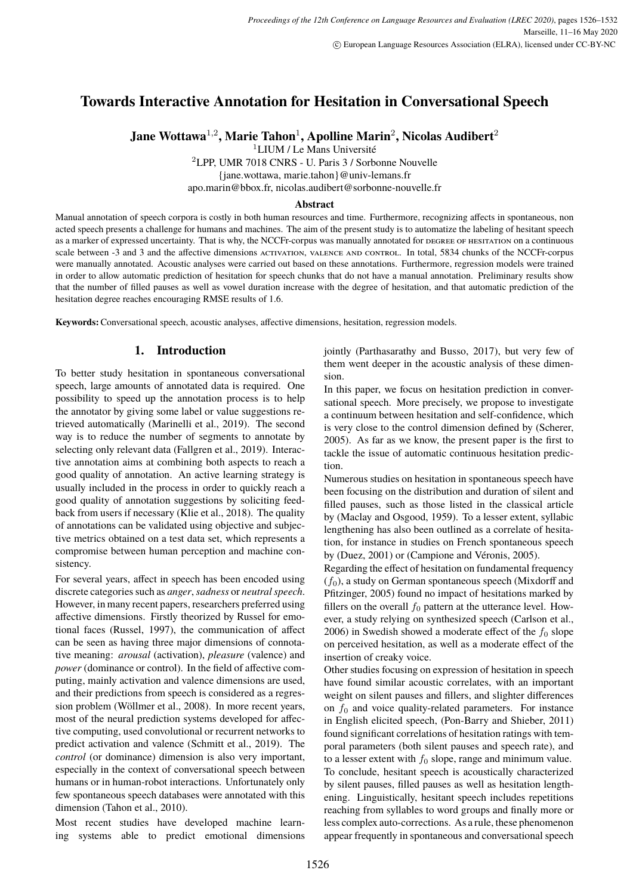# <span id="page-0-0"></span>**Towards Interactive Annotation for Hesitation in Conversational Speech**

**Jane Wottawa**<sup>1</sup>,<sup>2</sup> **, Marie Tahon**<sup>1</sup> **, Apolline Marin**<sup>2</sup> **, Nicolas Audibert**<sup>2</sup>

<sup>1</sup>LIUM / Le Mans Université

<sup>2</sup>LPP, UMR 7018 CNRS - U. Paris 3 / Sorbonne Nouvelle

{jane.wottawa, marie.tahon}@univ-lemans.fr

apo.marin@bbox.fr, nicolas.audibert@sorbonne-nouvelle.fr

#### **Abstract**

Manual annotation of speech corpora is costly in both human resources and time. Furthermore, recognizing affects in spontaneous, non acted speech presents a challenge for humans and machines. The aim of the present study is to automatize the labeling of hesitant speech as a marker of expressed uncertainty. That is why, the NCCFr-corpus was manually annotated for degree of hesitation on a continuous scale between -3 and 3 and the affective dimensions activation, valence and control. In total, 5834 chunks of the NCCFr-corpus were manually annotated. Acoustic analyses were carried out based on these annotations. Furthermore, regression models were trained in order to allow automatic prediction of hesitation for speech chunks that do not have a manual annotation. Preliminary results show that the number of filled pauses as well as vowel duration increase with the degree of hesitation, and that automatic prediction of the hesitation degree reaches encouraging RMSE results of 1.6.

**Keywords:**Conversational speech, acoustic analyses, affective dimensions, hesitation, regression models.

# **1. Introduction**

To better study hesitation in spontaneous conversational speech, large amounts of annotated data is required. One possibility to speed up the annotation process is to help the annotator by giving some label or value suggestions retrieved automatically (Marinelli et al., 2019). The second way is to reduce the number of segments to annotate by selecting only relevant data (Fallgren et al., 2019). Interactive annotation aims at combining both aspects to reach a good quality of annotation. An active learning strategy is usually included in the process in order to quickly reach a good quality of annotation suggestions by soliciting feedback from users if necessary (Klie et al., 2018). The quality of annotations can be validated using objective and subjective metrics obtained on a test data set, which represents a compromise between human perception and machine consistency.

For several years, affect in speech has been encoded using discrete categories such as *anger*,*sadness* or *neutral speech*. However, in many recent papers, researchers preferred using affective dimensions. Firstly theorized by Russel for emotional faces (Russel, 1997), the communication of affect can be seen as having three major dimensions of connotative meaning: *arousal* (activation), *pleasure* (valence) and *power* (dominance or control). In the field of affective computing, mainly activation and valence dimensions are used, and their predictions from speech is considered as a regression problem (Wöllmer et al., 2008). In more recent years, most of the neural prediction systems developed for affective computing, used convolutional or recurrent networks to predict activation and valence (Schmitt et al., 2019). The *control* (or dominance) dimension is also very important, especially in the context of conversational speech between humans or in human-robot interactions. Unfortunately only few spontaneous speech databases were annotated with this dimension (Tahon et al., 2010).

Most recent studies have developed machine learning systems able to predict emotional dimensions

jointly (Parthasarathy and Busso, 2017), but very few of them went deeper in the acoustic analysis of these dimension.

In this paper, we focus on hesitation prediction in conversational speech. More precisely, we propose to investigate a continuum between hesitation and self-confidence, which is very close to the control dimension defined by (Scherer, 2005). As far as we know, the present paper is the first to tackle the issue of automatic continuous hesitation prediction.

Numerous studies on hesitation in spontaneous speech have been focusing on the distribution and duration of silent and filled pauses, such as those listed in the classical article by (Maclay and Osgood, 1959). To a lesser extent, syllabic lengthening has also been outlined as a correlate of hesitation, for instance in studies on French spontaneous speech by (Duez, 2001) or (Campione and Véronis, 2005).

Regarding the effect of hesitation on fundamental frequency  $(f_0)$ , a study on German spontaneous speech (Mixdorff and Pfitzinger, 2005) found no impact of hesitations marked by fillers on the overall  $f_0$  pattern at the utterance level. However, a study relying on synthesized speech (Carlson et al., 2006) in Swedish showed a moderate effect of the  $f_0$  slope on perceived hesitation, as well as a moderate effect of the insertion of creaky voice.

Other studies focusing on expression of hesitation in speech have found similar acoustic correlates, with an important weight on silent pauses and fillers, and slighter differences on  $f_0$  and voice quality-related parameters. For instance in English elicited speech, (Pon-Barry and Shieber, 2011) found significant correlations of hesitation ratings with temporal parameters (both silent pauses and speech rate), and to a lesser extent with  $f_0$  slope, range and minimum value. To conclude, hesitant speech is acoustically characterized by silent pauses, filled pauses as well as hesitation lengthening. Linguistically, hesitant speech includes repetitions reaching from syllables to word groups and finally more or less complex auto-corrections. As a rule, these phenomenon appear frequently in spontaneous and conversational speech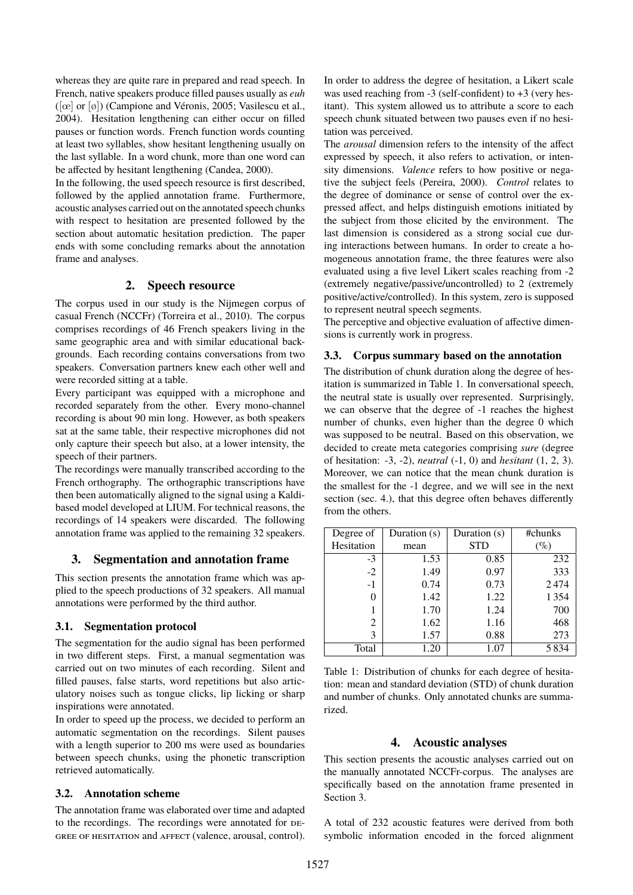whereas they are quite rare in prepared and read speech. In French, native speakers produce filled pauses usually as *euh*  $([\alpha] \text{ or } [\emptyset])$  [\(Campione and Véronis, 2005; Vasilescu et al.,](#page-0-0) [2004\)](#page-0-0). Hesitation lengthening can either occur on filled pauses or function words. French function words counting at least two syllables, show hesitant lengthening usually on the last syllable. In a word chunk, more than one word can be affected by hesitant lengthening [\(Candea, 2000\)](#page-0-0).

In the following, the used speech resource is first described, followed by the applied annotation frame. Furthermore, acoustic analyses carried out on the annotated speech chunks with respect to hesitation are presented followed by the section about automatic hesitation prediction. The paper ends with some concluding remarks about the annotation frame and analyses.

# **2. Speech resource**

The corpus used in our study is the Nijmegen corpus of casual French (NCCFr) [\(Torreira et al., 2010\)](#page-0-0). The corpus comprises recordings of 46 French speakers living in the same geographic area and with similar educational backgrounds. Each recording contains conversations from two speakers. Conversation partners knew each other well and were recorded sitting at a table.

Every participant was equipped with a microphone and recorded separately from the other. Every mono-channel recording is about 90 min long. However, as both speakers sat at the same table, their respective microphones did not only capture their speech but also, at a lower intensity, the speech of their partners.

The recordings were manually transcribed according to the French orthography. The orthographic transcriptions have then been automatically aligned to the signal using a Kaldibased model developed at LIUM. For technical reasons, the recordings of 14 speakers were discarded. The following annotation frame was applied to the remaining 32 speakers.

## <span id="page-1-2"></span>**3. Segmentation and annotation frame**

This section presents the annotation frame which was applied to the speech productions of 32 speakers. All manual annotations were performed by the third author.

#### **3.1. Segmentation protocol**

The segmentation for the audio signal has been performed in two different steps. First, a manual segmentation was carried out on two minutes of each recording. Silent and filled pauses, false starts, word repetitions but also articulatory noises such as tongue clicks, lip licking or sharp inspirations were annotated.

In order to speed up the process, we decided to perform an automatic segmentation on the recordings. Silent pauses with a length superior to 200 ms were used as boundaries between speech chunks, using the phonetic transcription retrieved automatically.

#### **3.2. Annotation scheme**

The annotation frame was elaborated over time and adapted to the recordings. The recordings were annotated for DEgree of hesitation and affect (valence, arousal, control).

In order to address the degree of hesitation, a Likert scale was used reaching from -3 (self-confident) to +3 (very hesitant). This system allowed us to attribute a score to each speech chunk situated between two pauses even if no hesitation was perceived.

The *arousal* dimension refers to the intensity of the affect expressed by speech, it also refers to activation, or intensity dimensions. *Valence* refers to how positive or negative the subject feels [\(Pereira, 2000\)](#page-0-0). *Control* relates to the degree of dominance or sense of control over the expressed affect, and helps distinguish emotions initiated by the subject from those elicited by the environment. The last dimension is considered as a strong social cue during interactions between humans. In order to create a homogeneous annotation frame, the three features were also evaluated using a five level Likert scales reaching from -2 (extremely negative/passive/uncontrolled) to 2 (extremely positive/active/controlled). In this system, zero is supposed to represent neutral speech segments.

The perceptive and objective evaluation of affective dimensions is currently work in progress.

## **3.3. Corpus summary based on the annotation**

The distribution of chunk duration along the degree of hesitation is summarized in Table [1.](#page-1-0) In conversational speech, the neutral state is usually over represented. Surprisingly, we can observe that the degree of -1 reaches the highest number of chunks, even higher than the degree 0 which was supposed to be neutral. Based on this observation, we decided to create meta categories comprising *sure* (degree of hesitation: -3, -2), *neutral* (-1, 0) and *hesitant* (1, 2, 3). Moreover, we can notice that the mean chunk duration is the smallest for the -1 degree, and we will see in the next section (sec. [4.\)](#page-1-1), that this degree often behaves differently from the others.

| Degree of  | Duration (s) | Duration (s) | #chunks |
|------------|--------------|--------------|---------|
| Hesitation | mean         | <b>STD</b>   | (%      |
| $-3$       | 1.53         | 0.85         | 232     |
| $-2$       | 1.49         | 0.97         | 333     |
| $-1$       | 0.74         | 0.73         | 2474    |
| 0          | 1.42         | 1.22         | 1354    |
|            | 1.70         | 1.24         | 700     |
| 2          | 1.62         | 1.16         | 468     |
| 3          | 1.57         | 0.88         | 273     |
| Total      | 1.20         | 1.07         | 5834    |

<span id="page-1-0"></span>Table 1: Distribution of chunks for each degree of hesitation: mean and standard deviation (STD) of chunk duration and number of chunks. Only annotated chunks are summarized.

#### **4. Acoustic analyses**

<span id="page-1-1"></span>This section presents the acoustic analyses carried out on the manually annotated NCCFr-corpus. The analyses are specifically based on the annotation frame presented in Section [3.](#page-1-2)

A total of 232 acoustic features were derived from both symbolic information encoded in the forced alignment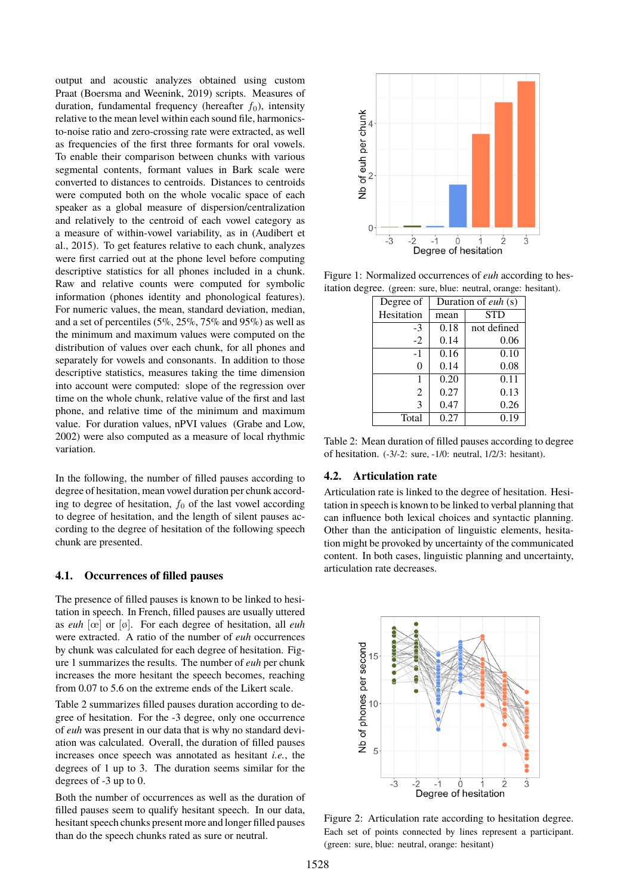output and acoustic analyzes obtained using custom Praat [\(Boersma and Weenink, 2019\)](#page-0-0) scripts. Measures of duration, fundamental frequency (hereafter  $f_0$ ), intensity relative to the mean level within each sound file, harmonicsto-noise ratio and zero-crossing rate were extracted, as well as frequencies of the first three formants for oral vowels. To enable their comparison between chunks with various segmental contents, formant values in Bark scale were converted to distances to centroids. Distances to centroids were computed both on the whole vocalic space of each speaker as a global measure of dispersion/centralization and relatively to the centroid of each vowel category as a measure of within-vowel variability, as in [\(Audibert et](#page-0-0) [al., 2015\)](#page-0-0). To get features relative to each chunk, analyzes were first carried out at the phone level before computing descriptive statistics for all phones included in a chunk. Raw and relative counts were computed for symbolic information (phones identity and phonological features). For numeric values, the mean, standard deviation, median, and a set of percentiles (5%, 25%, 75% and 95%) as well as the minimum and maximum values were computed on the distribution of values over each chunk, for all phones and separately for vowels and consonants. In addition to those descriptive statistics, measures taking the time dimension into account were computed: slope of the regression over time on the whole chunk, relative value of the first and last phone, and relative time of the minimum and maximum value. For duration values, nPVI values [\(Grabe and Low,](#page-0-0) [2002\)](#page-0-0) were also computed as a measure of local rhythmic variation.

In the following, the number of filled pauses according to degree of hesitation, mean vowel duration per chunk according to degree of hesitation,  $f_0$  of the last vowel according to degree of hesitation, and the length of silent pauses according to the degree of hesitation of the following speech chunk are presented.

## **4.1. Occurrences of filled pauses**

The presence of filled pauses is known to be linked to hesitation in speech. In French, filled pauses are usually uttered as *euh* [œ] or [ø]. For each degree of hesitation, all *euh* were extracted. A ratio of the number of *euh* occurrences by chunk was calculated for each degree of hesitation. Figure [1](#page-2-0) summarizes the results. The number of *euh* per chunk increases the more hesitant the speech becomes, reaching from 0.07 to 5.6 on the extreme ends of the Likert scale.

Table [2](#page-2-1) summarizes filled pauses duration according to degree of hesitation. For the -3 degree, only one occurrence of *euh* was present in our data that is why no standard deviation was calculated. Overall, the duration of filled pauses increases once speech was annotated as hesitant *i.e.*, the degrees of 1 up to 3. The duration seems similar for the degrees of -3 up to 0.

Both the number of occurrences as well as the duration of filled pauses seem to qualify hesitant speech. In our data, hesitant speech chunks present more and longer filled pauses than do the speech chunks rated as sure or neutral.



Figure 1: Normalized occurrences of *euh* according to hesitation degree. (green: sure, blue: neutral, orange: hesitant).

<span id="page-2-0"></span>

| Duration of euh (s) |             |  |
|---------------------|-------------|--|
| mean                | <b>STD</b>  |  |
| 0.18                | not defined |  |
| 0.14                | 0.06        |  |
| 0.16                | 0.10        |  |
| 0.14                | 0.08        |  |
| 0.20                | 0.11        |  |
| 0.27                | 0.13        |  |
| 0.47                | 0.26        |  |
| 0.27                | 0.19        |  |
|                     |             |  |

<span id="page-2-1"></span>Table 2: Mean duration of filled pauses according to degree of hesitation. (-3/-2: sure, -1/0: neutral, 1/2/3: hesitant).

#### **4.2. Articulation rate**

Articulation rate is linked to the degree of hesitation. Hesitation in speech is known to be linked to verbal planning that can influence both lexical choices and syntactic planning. Other than the anticipation of linguistic elements, hesitation might be provoked by uncertainty of the communicated content. In both cases, linguistic planning and uncertainty, articulation rate decreases.



<span id="page-2-2"></span>Figure 2: Articulation rate according to hesitation degree. Each set of points connected by lines represent a participant. (green: sure, blue: neutral, orange: hesitant)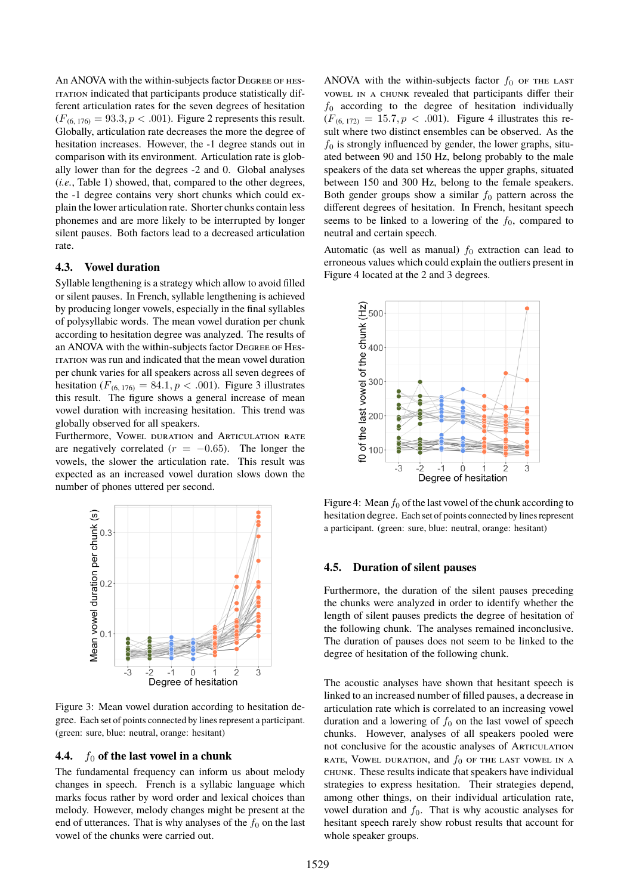An ANOVA with the within-subjects factor Degree of hesitation indicated that participants produce statistically different articulation rates for the seven degrees of hesitation  $(F_{(6, 176)} = 93.3, p < .001)$ . Figure [2](#page-2-2) represents this result. Globally, articulation rate decreases the more the degree of hesitation increases. However, the -1 degree stands out in comparison with its environment. Articulation rate is globally lower than for the degrees -2 and 0. Global analyses (*i.e.*, Table [1\)](#page-1-0) showed, that, compared to the other degrees, the -1 degree contains very short chunks which could explain the lower articulation rate. Shorter chunks contain less phonemes and are more likely to be interrupted by longer silent pauses. Both factors lead to a decreased articulation rate.

#### **4.3. Vowel duration**

Syllable lengthening is a strategy which allow to avoid filled or silent pauses. In French, syllable lengthening is achieved by producing longer vowels, especially in the final syllables of polysyllabic words. The mean vowel duration per chunk according to hesitation degree was analyzed. The results of an ANOVA with the within-subjects factor Degree of Hesitation was run and indicated that the mean vowel duration per chunk varies for all speakers across all seven degrees of hesitation ( $F_{(6, 176)} = 84.1, p < .001$ ). Figure [3](#page-3-0) illustrates this result. The figure shows a general increase of mean vowel duration with increasing hesitation. This trend was globally observed for all speakers.

Furthermore, Vowel duration and Articulation rate are negatively correlated ( $r = -0.65$ ). The longer the vowels, the slower the articulation rate. This result was expected as an increased vowel duration slows down the number of phones uttered per second.



<span id="page-3-0"></span>Figure 3: Mean vowel duration according to hesitation degree. Each set of points connected by lines represent a participant. (green: sure, blue: neutral, orange: hesitant)

#### **4.4.**  $f_0$  of the last vowel in a chunk

The fundamental frequency can inform us about melody changes in speech. French is a syllabic language which marks focus rather by word order and lexical choices than melody. However, melody changes might be present at the end of utterances. That is why analyses of the  $f_0$  on the last vowel of the chunks were carried out.

ANOVA with the within-subjects factor  $f_0$  of the last vowel in a chunk revealed that participants differ their  $f_0$  according to the degree of hesitation individually  $(F_{(6, 172)} = 15.7, p < .001)$ . Figure [4](#page-3-1) illustrates this result where two distinct ensembles can be observed. As the  $f_0$  is strongly influenced by gender, the lower graphs, situated between 90 and 150 Hz, belong probably to the male speakers of the data set whereas the upper graphs, situated between 150 and 300 Hz, belong to the female speakers. Both gender groups show a similar  $f_0$  pattern across the different degrees of hesitation. In French, hesitant speech seems to be linked to a lowering of the  $f_0$ , compared to neutral and certain speech.

Automatic (as well as manual)  $f_0$  extraction can lead to erroneous values which could explain the outliers present in Figure [4](#page-3-1) located at the 2 and 3 degrees.



<span id="page-3-1"></span>Figure 4: Mean  $f_0$  of the last vowel of the chunk according to hesitation degree. Each set of points connected by lines represent a participant. (green: sure, blue: neutral, orange: hesitant)

#### **4.5. Duration of silent pauses**

Furthermore, the duration of the silent pauses preceding the chunks were analyzed in order to identify whether the length of silent pauses predicts the degree of hesitation of the following chunk. The analyses remained inconclusive. The duration of pauses does not seem to be linked to the degree of hesitation of the following chunk.

The acoustic analyses have shown that hesitant speech is linked to an increased number of filled pauses, a decrease in articulation rate which is correlated to an increasing vowel duration and a lowering of  $f_0$  on the last vowel of speech chunks. However, analyses of all speakers pooled were not conclusive for the acoustic analyses of Articulation rate, Vowel duration, and  $f_0$  of the last vowel in a chunk. These results indicate that speakers have individual strategies to express hesitation. Their strategies depend, among other things, on their individual articulation rate, vowel duration and  $f_0$ . That is why acoustic analyses for hesitant speech rarely show robust results that account for whole speaker groups.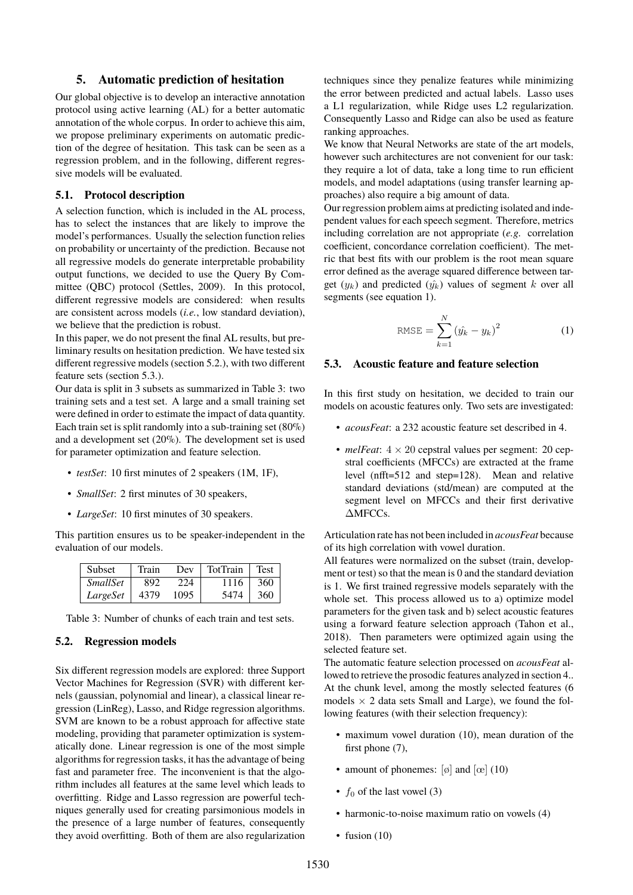## **5. Automatic prediction of hesitation**

Our global objective is to develop an interactive annotation protocol using active learning (AL) for a better automatic annotation of the whole corpus. In order to achieve this aim, we propose preliminary experiments on automatic prediction of the degree of hesitation. This task can be seen as a regression problem, and in the following, different regressive models will be evaluated.

## **5.1. Protocol description**

A selection function, which is included in the AL process, has to select the instances that are likely to improve the model's performances. Usually the selection function relies on probability or uncertainty of the prediction. Because not all regressive models do generate interpretable probability output functions, we decided to use the Query By Committee (QBC) protocol [\(Settles, 2009\)](#page-0-0). In this protocol, different regressive models are considered: when results are consistent across models (*i.e.*, low standard deviation), we believe that the prediction is robust.

In this paper, we do not present the final AL results, but preliminary results on hesitation prediction. We have tested six different regressive models (section [5.2.\)](#page-4-0), with two different feature sets (section [5.3.\)](#page-4-1).

Our data is split in 3 subsets as summarized in Table [3:](#page-4-2) two training sets and a test set. A large and a small training set were defined in order to estimate the impact of data quantity. Each train set is split randomly into a sub-training set (80%) and a development set (20%). The development set is used for parameter optimization and feature selection.

- *testSet*: 10 first minutes of 2 speakers (1M, 1F),
- *SmallSet*: 2 first minutes of 30 speakers,
- *LargeSet*: 10 first minutes of 30 speakers.

This partition ensures us to be speaker-independent in the evaluation of our models.

| Subset          | Train | Dev  | TotTrain | <b>Test</b> |
|-----------------|-------|------|----------|-------------|
| <i>SmallSet</i> | 892   | 224  | 1116     | 360         |
| LargeSet        | 4379  | 1095 | 5474     | 360         |

<span id="page-4-2"></span>Table 3: Number of chunks of each train and test sets.

#### <span id="page-4-0"></span>**5.2. Regression models**

Six different regression models are explored: three Support Vector Machines for Regression (SVR) with different kernels (gaussian, polynomial and linear), a classical linear regression (LinReg), Lasso, and Ridge regression algorithms. SVM are known to be a robust approach for affective state modeling, providing that parameter optimization is systematically done. Linear regression is one of the most simple algorithms for regression tasks, it has the advantage of being fast and parameter free. The inconvenient is that the algorithm includes all features at the same level which leads to overfitting. Ridge and Lasso regression are powerful techniques generally used for creating parsimonious models in the presence of a large number of features, consequently they avoid overfitting. Both of them are also regularization techniques since they penalize features while minimizing the error between predicted and actual labels. Lasso uses a L1 regularization, while Ridge uses L2 regularization. Consequently Lasso and Ridge can also be used as feature ranking approaches.

We know that Neural Networks are state of the art models. however such architectures are not convenient for our task: they require a lot of data, take a long time to run efficient models, and model adaptations (using transfer learning approaches) also require a big amount of data.

Our regression problem aims at predicting isolated and independent values for each speech segment. Therefore, metrics including correlation are not appropriate (*e.g.* correlation coefficient, concordance correlation coefficient). The metric that best fits with our problem is the root mean square error defined as the average squared difference between target  $(y_k)$  and predicted  $(y_k)$  values of segment k over all segments (see equation [1\)](#page-4-3).

<span id="page-4-3"></span>RMSE = 
$$
\sum_{k=1}^{N} (\hat{y}_k - y_k)^2
$$
 (1)

#### <span id="page-4-1"></span>**5.3. Acoustic feature and feature selection**

In this first study on hesitation, we decided to train our models on acoustic features only. Two sets are investigated:

- *acousFeat*: a 232 acoustic feature set described in [4.](#page-1-1)
- *melFeat*:  $4 \times 20$  cepstral values per segment: 20 cepstral coefficients (MFCCs) are extracted at the frame level (nfft=512 and step=128). Mean and relative standard deviations (std/mean) are computed at the segment level on MFCCs and their first derivative ∆MFCCs.

Articulation rate has not been included in *acousFeat* because of its high correlation with vowel duration.

All features were normalized on the subset (train, development or test) so that the mean is 0 and the standard deviation is 1. We first trained regressive models separately with the whole set. This process allowed us to a) optimize model parameters for the given task and b) select acoustic features using a forward feature selection approach [\(Tahon et al.,](#page-0-0) [2018\)](#page-0-0). Then parameters were optimized again using the selected feature set.

The automatic feature selection processed on *acousFeat* allowed to retrieve the prosodic features analyzed in section [4..](#page-1-1) At the chunk level, among the mostly selected features (6 models  $\times$  2 data sets Small and Large), we found the following features (with their selection frequency):

- maximum vowel duration (10), mean duration of the first phone  $(7)$ ,
- amount of phonemes:  $[\emptyset]$  and  $[\emptyset]$  (10)
- $f_0$  of the last vowel (3)
- harmonic-to-noise maximum ratio on vowels (4)
- fusion  $(10)$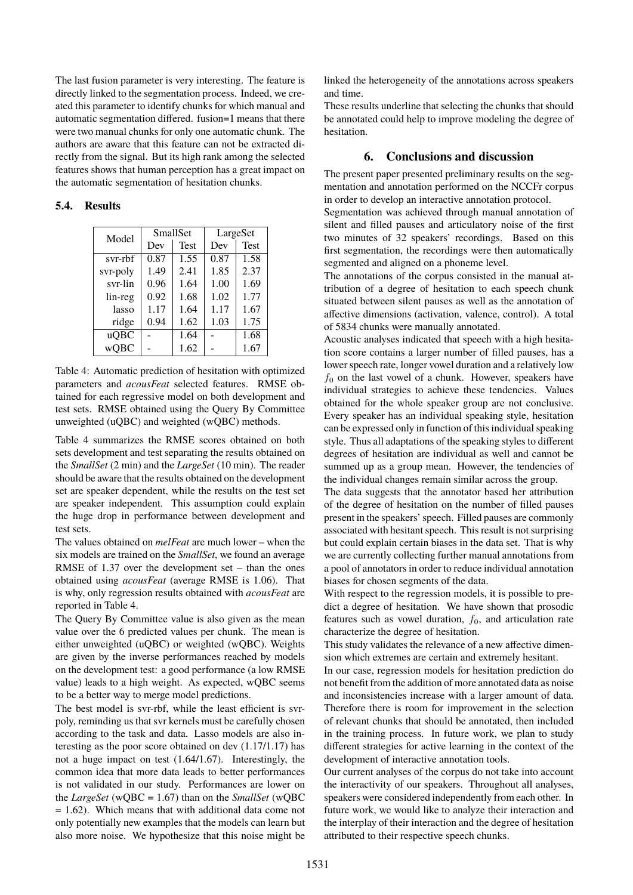The last fusion parameter is very interesting. The feature is directly linked to the segmentation process. Indeed, we created this parameter to identify chunks for which manual and automatic segmentation differed. fusion=1 means that there were two manual chunks for only one automatic chunk. The authors are aware that this feature can not be extracted directly from the signal. But its high rank among the selected features shows that human perception has a great impact on the automatic segmentation of hesitation chunks.

# **5.4. Results**

| Model       | SmallSet |             | LargeSet |             |
|-------------|----------|-------------|----------|-------------|
|             | Dev      | <b>Test</b> | Dev      | <b>Test</b> |
| svr-rbf     | 0.87     | 1.55        | 0.87     | 1.58        |
| svr-poly    | 1.49     | 2.41        | 1.85     | 2.37        |
| svr-lin     | 0.96     | 1.64        | 1.00     | 1.69        |
| lin-reg     | 0.92     | 1.68        | 1.02     | 1.77        |
| lasso       | 1.17     | 1.64        | 1.17     | 1.67        |
| ridge       | 0.94     | 1.62        | 1.03     | 1.75        |
| uQBC        |          | 1.64        |          | 1.68        |
| <b>wQBC</b> |          | 1.62        |          | 1.67        |

<span id="page-5-0"></span>Table 4: Automatic prediction of hesitation with optimized parameters and *acousFeat* selected features. RMSE obtained for each regressive model on both development and test sets. RMSE obtained using the Query By Committee unweighted (uQBC) and weighted (wQBC) methods.

Table [4](#page-5-0) summarizes the RMSE scores obtained on both sets development and test separating the results obtained on the *SmallSet* (2 min) and the *LargeSet* (10 min). The reader should be aware that the results obtained on the development set are speaker dependent, while the results on the test set are speaker independent. This assumption could explain the huge drop in performance between development and test sets.

The values obtained on *melFeat* are much lower – when the six models are trained on the *SmallSet*, we found an average RMSE of 1.37 over the development set – than the ones obtained using *acousFeat* (average RMSE is 1.06). That is why, only regression results obtained with *acousFeat* are reported in Table [4.](#page-5-0)

The Query By Committee value is also given as the mean value over the 6 predicted values per chunk. The mean is either unweighted (uQBC) or weighted (wQBC). Weights are given by the inverse performances reached by models on the development test: a good performance (a low RMSE value) leads to a high weight. As expected, wQBC seems to be a better way to merge model predictions.

The best model is svr-rbf, while the least efficient is svrpoly, reminding us that svr kernels must be carefully chosen according to the task and data. Lasso models are also interesting as the poor score obtained on dev (1.17/1.17) has not a huge impact on test (1.64/1.67). Interestingly, the common idea that more data leads to better performances is not validated in our study. Performances are lower on the *LargeSet* (wQBC = 1.67) than on the *SmallSet* (wQBC = 1.62). Which means that with additional data come not only potentially new examples that the models can learn but also more noise. We hypothesize that this noise might be linked the heterogeneity of the annotations across speakers and time.

These results underline that selecting the chunks that should be annotated could help to improve modeling the degree of hesitation.

# **6. Conclusions and discussion**

The present paper presented preliminary results on the segmentation and annotation performed on the NCCFr corpus in order to develop an interactive annotation protocol.

Segmentation was achieved through manual annotation of silent and filled pauses and articulatory noise of the first two minutes of 32 speakers' recordings. Based on this first segmentation, the recordings were then automatically segmented and aligned on a phoneme level.

The annotations of the corpus consisted in the manual attribution of a degree of hesitation to each speech chunk situated between silent pauses as well as the annotation of affective dimensions (activation, valence, control). A total of 5834 chunks were manually annotated.

Acoustic analyses indicated that speech with a high hesitation score contains a larger number of filled pauses, has a lower speech rate, longer vowel duration and a relatively low  $f_0$  on the last vowel of a chunk. However, speakers have individual strategies to achieve these tendencies. Values obtained for the whole speaker group are not conclusive. Every speaker has an individual speaking style, hesitation can be expressed only in function of this individual speaking style. Thus all adaptations of the speaking styles to different degrees of hesitation are individual as well and cannot be summed up as a group mean. However, the tendencies of the individual changes remain similar across the group.

The data suggests that the annotator based her attribution of the degree of hesitation on the number of filled pauses present in the speakers' speech. Filled pauses are commonly associated with hesitant speech. This result is not surprising but could explain certain biases in the data set. That is why we are currently collecting further manual annotations from a pool of annotators in order to reduce individual annotation biases for chosen segments of the data.

With respect to the regression models, it is possible to predict a degree of hesitation. We have shown that prosodic features such as vowel duration,  $f_0$ , and articulation rate characterize the degree of hesitation.

This study validates the relevance of a new affective dimension which extremes are certain and extremely hesitant.

In our case, regression models for hesitation prediction do not benefit from the addition of more annotated data as noise and inconsistencies increase with a larger amount of data. Therefore there is room for improvement in the selection of relevant chunks that should be annotated, then included in the training process. In future work, we plan to study different strategies for active learning in the context of the development of interactive annotation tools.

Our current analyses of the corpus do not take into account the interactivity of our speakers. Throughout all analyses, speakers were considered independently from each other. In future work, we would like to analyze their interaction and the interplay of their interaction and the degree of hesitation attributed to their respective speech chunks.